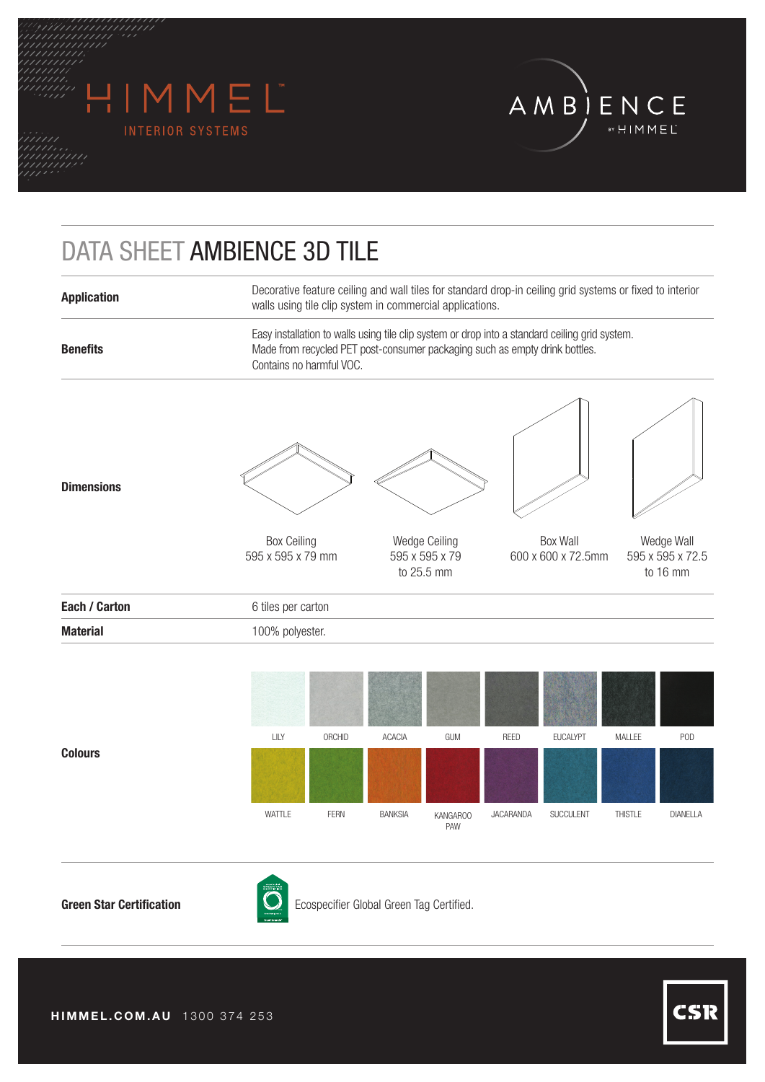



## DATA SHEET AMBIENCE 3D TILE

| Decorative feature ceiling and wall tiles for standard drop-in ceiling grid systems or fixed to interior<br>walls using tile clip system in commercial applications.                                      |                                               |                                |                                            |  |  |  |  |
|-----------------------------------------------------------------------------------------------------------------------------------------------------------------------------------------------------------|-----------------------------------------------|--------------------------------|--------------------------------------------|--|--|--|--|
| Easy installation to walls using tile clip system or drop into a standard ceiling grid system.<br>Made from recycled PET post-consumer packaging such as empty drink bottles.<br>Contains no harmful VOC. |                                               |                                |                                            |  |  |  |  |
| <b>Box Ceiling</b><br>595 x 595 x 79 mm                                                                                                                                                                   | Wedge Ceiling<br>595 x 595 x 79<br>to 25.5 mm | Box Wall<br>600 x 600 x 72.5mm | Wedge Wall<br>595 x 595 x 72.5<br>to 16 mm |  |  |  |  |
| 6 tiles per carton                                                                                                                                                                                        |                                               |                                |                                            |  |  |  |  |
| 100% polyester.                                                                                                                                                                                           |                                               |                                |                                            |  |  |  |  |
|                                                                                                                                                                                                           |                                               |                                |                                            |  |  |  |  |



**Colours**



**Green Star Certification Conserverse Conservative Conservative Conservative Conservative Conservative Conservative Conservative Conservative Conservative Conservative Conservative Conservative Conservative Conservative**